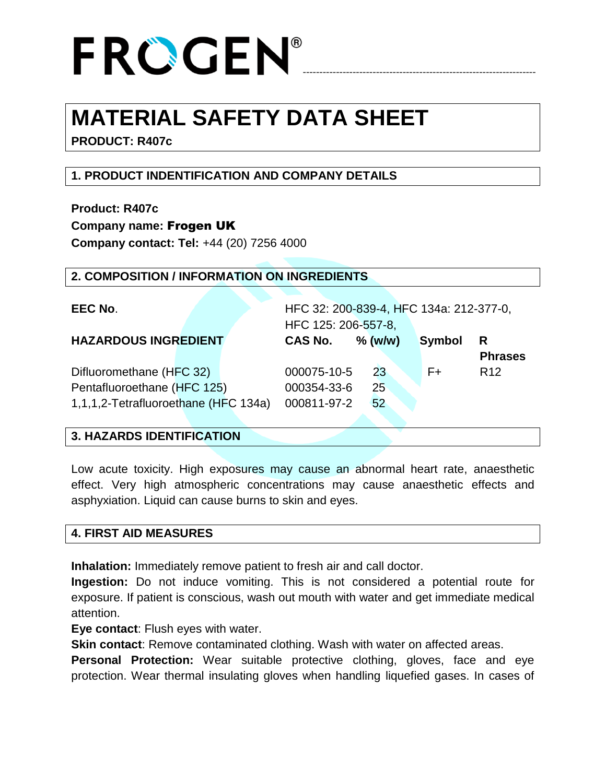# ----------------------------------------------------------------------

### **MATERIAL SAFETY DATA SHEET**

**PRODUCT: R407c**

### **1. PRODUCT INDENTIFICATION AND COMPANY DETAILS**

**Product: R407c Company name:** Frogen UK **Company contact: Tel:** +44 (20) 7256 4000

#### **2. COMPOSITION / INFORMATION ON INGREDIENTS**

| EEC No.                              | HFC 32: 200-839-4, HFC 134a: 212-377-0, |            |        |                 |
|--------------------------------------|-----------------------------------------|------------|--------|-----------------|
|                                      | HFC 125: 206-557-8,                     |            |        |                 |
| <b>HAZARDOUS INGREDIENT</b>          | <b>CAS No.</b>                          | $\%$ (w/w) | Symbol | R               |
|                                      |                                         |            |        | <b>Phrases</b>  |
| Difluoromethane (HFC 32)             | 000075-10-5                             | 23         | F+     | R <sub>12</sub> |
| Pentafluoroethane (HFC 125)          | 000354-33-6                             | 25         |        |                 |
| 1,1,1,2-Tetrafluoroethane (HFC 134a) | 000811-97-2                             | 52         |        |                 |

#### **3. HAZARDS IDENTIFICATION**

Low acute toxicity. High exposures may cause an abnormal heart rate, anaesthetic effect. Very high atmospheric concentrations may cause anaesthetic effects and asphyxiation. Liquid can cause burns to skin and eyes.

#### **4. FIRST AID MEASURES**

**Inhalation:** Immediately remove patient to fresh air and call doctor.

**Ingestion:** Do not induce vomiting. This is not considered a potential route for exposure. If patient is conscious, wash out mouth with water and get immediate medical attention.

**Eye contact**: Flush eyes with water.

**Skin contact**: Remove contaminated clothing. Wash with water on affected areas.

**Personal Protection:** Wear suitable protective clothing, gloves, face and eye protection. Wear thermal insulating gloves when handling liquefied gases. In cases of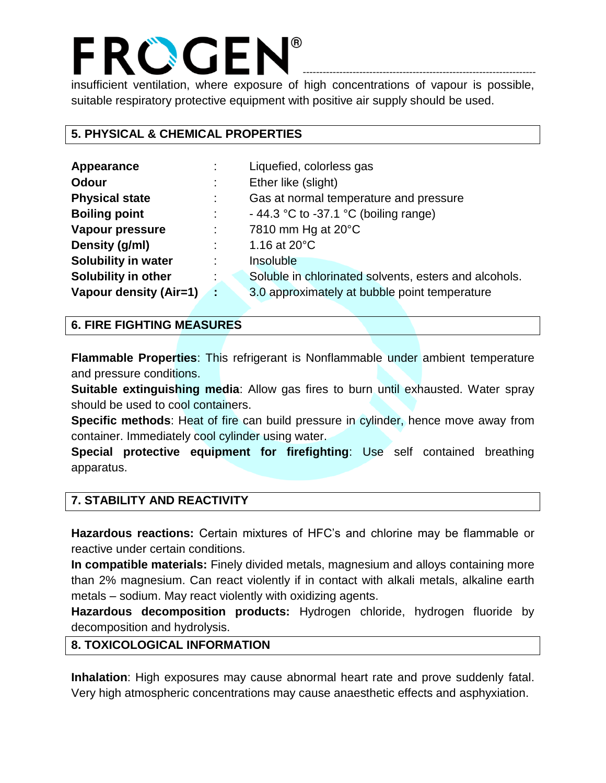insufficient ventilation, where exposure of high concentrations of vapour is possible, suitable respiratory protective equipment with positive air supply should be used.

----------------------------------------------------------------------

#### **5. PHYSICAL & CHEMICAL PROPERTIES**

| Appearance                 |           | Liquefied, colorless gas                              |
|----------------------------|-----------|-------------------------------------------------------|
| <b>Odour</b>               |           | Ether like (slight)                                   |
| <b>Physical state</b>      | ÷         | Gas at normal temperature and pressure                |
| <b>Boiling point</b>       |           | - 44.3 °C to -37.1 °C (boiling range)                 |
| <b>Vapour pressure</b>     |           | 7810 mm Hg at 20°C                                    |
| Density (g/ml)             |           | 1.16 at $20^{\circ}$ C                                |
| <b>Solubility in water</b> |           | Insoluble                                             |
| Solubility in other        |           | Soluble in chlorinated solvents, esters and alcohols. |
| Vapour density (Air=1)     | <b>AV</b> | 3.0 approximately at bubble point temperature         |

#### **6. FIRE FIGHTING MEASURES**

**Flammable Properties**: This refrigerant is Nonflammable under ambient temperature and pressure conditions.

**Suitable extinguishing media**: Allow gas fires to burn until exhausted. Water spray should be used to cool containers.

**Specific methods**: Heat of fire can build pressure in cylinder, hence move away from container. Immediately cool cylinder using water.

**Special protective equipment for firefighting**: Use self contained breathing apparatus.

#### **7. STABILITY AND REACTIVITY**

**Hazardous reactions:** Certain mixtures of HFC's and chlorine may be flammable or reactive under certain conditions.

**In compatible materials:** Finely divided metals, magnesium and alloys containing more than 2% magnesium. Can react violently if in contact with alkali metals, alkaline earth metals – sodium. May react violently with oxidizing agents.

**Hazardous decomposition products:** Hydrogen chloride, hydrogen fluoride by decomposition and hydrolysis.

#### **8. TOXICOLOGICAL INFORMATION**

**Inhalation**: High exposures may cause abnormal heart rate and prove suddenly fatal. Very high atmospheric concentrations may cause anaesthetic effects and asphyxiation.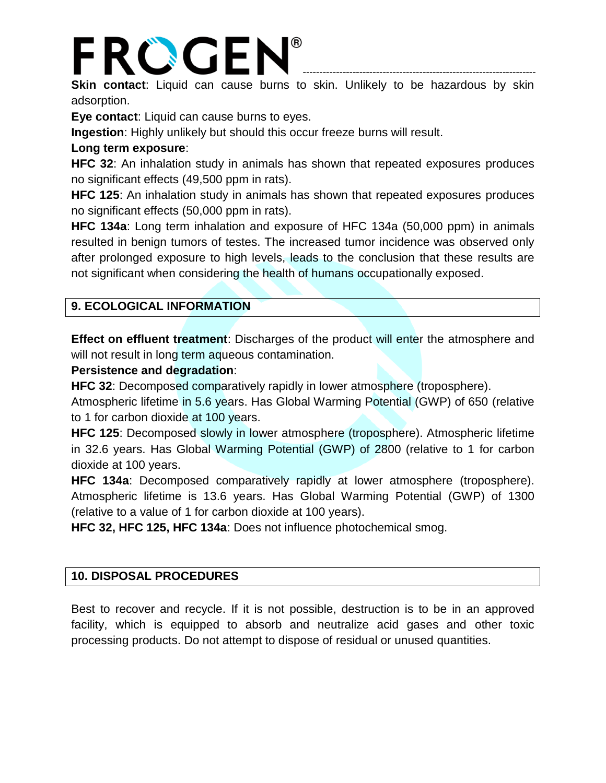### FROGEN® ----------------------------------------------------------------------

**Skin contact**: Liquid can cause burns to skin. Unlikely to be hazardous by skin adsorption.

**Eye contact**: Liquid can cause burns to eyes.

**Ingestion**: Highly unlikely but should this occur freeze burns will result.

#### **Long term exposure**:

**HFC 32**: An inhalation study in animals has shown that repeated exposures produces no significant effects (49,500 ppm in rats).

**HFC 125**: An inhalation study in animals has shown that repeated exposures produces no significant effects (50,000 ppm in rats).

**HFC 134a**: Long term inhalation and exposure of HFC 134a (50,000 ppm) in animals resulted in benign tumors of testes. The increased tumor incidence was observed only after prolonged exposure to high levels, leads to the conclusion that these results are not significant when considering the health of humans occupationally exposed.

#### **9. ECOLOGICAL INFORMATION**

**Effect on effluent treatment**: Discharges of the product will enter the atmosphere and will not result in long term aqueous contamination.

#### **Persistence and degradation**:

**HFC 32**: Decomposed comparatively rapidly in lower atmosphere (troposphere).

Atmospheric lifetime in 5.6 years. Has Global Warming Potential (GWP) of 650 (relative to 1 for carbon dioxide at 100 years.

**HFC 125**: Decomposed slowly in lower atmosphere (troposphere). Atmospheric lifetime in 32.6 years. Has Global Warming Potential (GWP) of 2800 (relative to 1 for carbon dioxide at 100 years.

**HFC 134a**: Decomposed comparatively rapidly at lower atmosphere (troposphere). Atmospheric lifetime is 13.6 years. Has Global Warming Potential (GWP) of 1300 (relative to a value of 1 for carbon dioxide at 100 years).

**HFC 32, HFC 125, HFC 134a**: Does not influence photochemical smog.

#### **10. DISPOSAL PROCEDURES**

Best to recover and recycle. If it is not possible, destruction is to be in an approved facility, which is equipped to absorb and neutralize acid gases and other toxic processing products. Do not attempt to dispose of residual or unused quantities.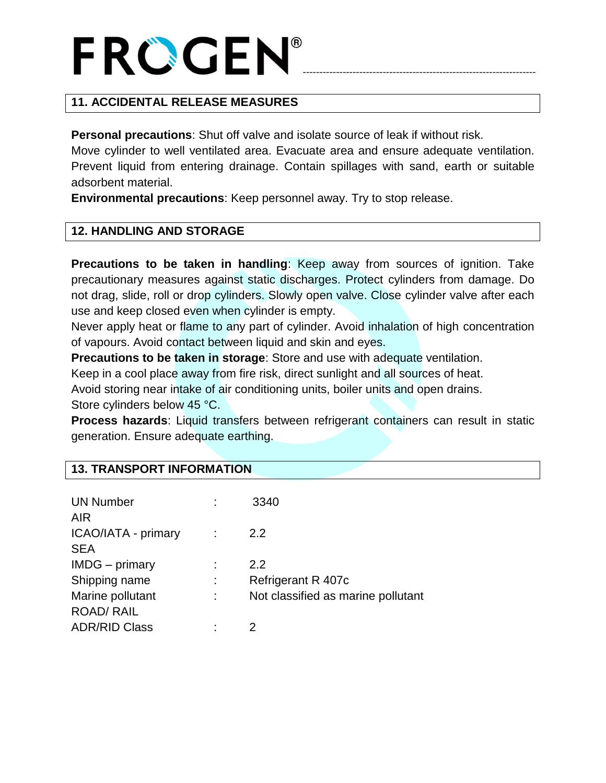# ----------------------------------------------------------------------

#### **11. ACCIDENTAL RELEASE MEASURES**

**Personal precautions**: Shut off valve and isolate source of leak if without risk.

Move cylinder to well ventilated area. Evacuate area and ensure adequate ventilation. Prevent liquid from entering drainage. Contain spillages with sand, earth or suitable adsorbent material.

**Environmental precautions**: Keep personnel away. Try to stop release.

#### **12. HANDLING AND STORAGE**

**Precautions to be taken in handling**: Keep away from sources of ignition. Take precautionary measures against static discharges. Protect cylinders from damage. Do not drag, slide, roll or drop cylinders. Slowly open valve. Close cylinder valve after each use and keep closed even when cylinder is empty.

Never apply heat or flame to any part of cylinder. Avoid inhalation of high concentration of vapours. Avoid contact between liquid and skin and eyes.

**Precautions to be taken in storage**: Store and use with adequate ventilation.

Keep in a cool place away from fire risk, direct sunlight and all sources of heat.

Avoid storing near intake of air conditioning units, boiler units and open drains. Store cylinders below 45 °C.

**Process hazards**: Liquid transfers between refrigerant containers can result in static generation. Ensure adequate earthing.

| <b>UN Number</b><br><b>AIR</b> | ÷ | 3340                               |
|--------------------------------|---|------------------------------------|
| ICAO/IATA - primary            |   | 2.2                                |
| <b>SEA</b>                     |   |                                    |
| <b>IMDG</b> – primary          |   | 2.2                                |
| Shipping name                  | ÷ | Refrigerant R 407c                 |
| Marine pollutant               | t | Not classified as marine pollutant |
| <b>ROAD/ RAIL</b>              |   |                                    |
| <b>ADR/RID Class</b>           | ٠ |                                    |

#### **13. TRANSPORT INFORMATION**